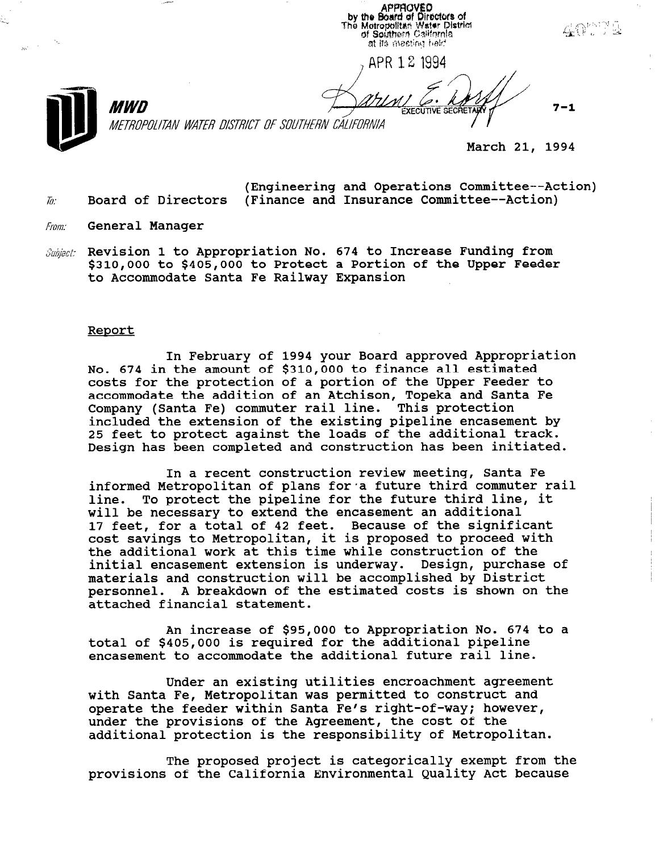**APPROVED** by the Board of Directors of<br>The Metropolitan Water District<br>of Southern California at its meeting held

APR 1 2 1994

**EXECUTIVE SECRE** 



METROPOLITAN WATER DISTRICT OF SOUTHERN CALIFORNIA

March 21, 1994

 $7 - 1$ 

(Engineering and Operations Committee--Action)  $\bar{h}$ : Board of Directors (Finance and Insurance Committee--Action)

From: General Manager

MWD

.-.

 $\mathcal{S}ubiect:$  Revision 1 to Appropriation No. 674 to Increase Funding from \$310,000 to \$405,000 to Protect a Portion of the Upper Feeder to Accommodate Santa Fe Railway Expansion

#### Report

In February of 1994 your Board approved Appropriation No. 674 in the amount of \$310,000 to finance all estimated costs for the protection of a portion of the Upper Feeder to accommodate the addition of an Atchison, Topeka and Santa Fe Company (Santa Fe) commuter rail line. This protection included the extension of the existing pipeline encasement by 25 feet to protect against the loads of the additional track. Design has been completed and construction has been initiated.

In a recent construction review meeting, Santa Fe informed Metropolitan of plans for a future third commuter rail line. To protect the pipeline for the future third line, it will be necessary to extend the encasement an additional 17 feet, for a total of 42 feet. Because of the significant IT LEEL, IUI a LULAI UI 42 LEEL. DECAUSE UI LHE SIGHILICAH<br>cost savings to Metropolitan, it is proposed to proceed wit the additional work at this time while construction of the initial encasement extension is underway. Design, purchase of materials and construction will be accomplished by District personnel. A breakdown of the estimated costs is shown on the attached financial statement.

An increase of \$95,000 to Appropriation No. 674 to a total of \$405,000 is required for the additional pipeline encasement to accommodate the additional future rail line.

Under an existing utilities encroachment agreement UNUEL AN EXISTING UTITITIES ENTERCHMENT AGLEEME with Santa Fe, Metropolitan was permitted to construct and operate the feeder within Santa Fe's right-of-way; however, under the provisions of the Agreement, the cost of the additional provisions of the Agreement, the cost of the

The proposed project is categorically exempt from the provisions of the California Environmental Quality Act because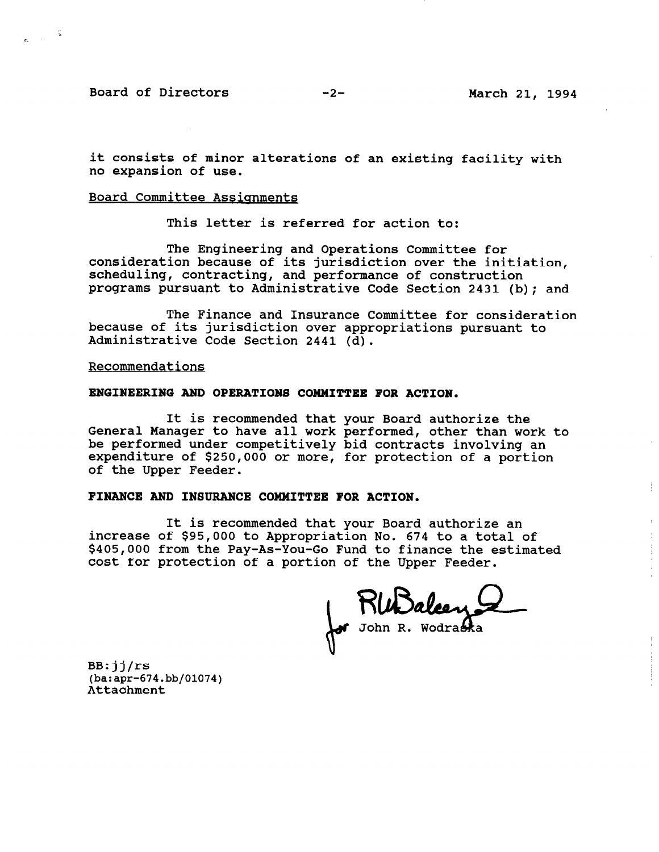Board of Directors -2- March 21, 1994

 $\frac{1}{2}$ 

it consists of minor alterations of an existing facility with no expansion of use.

### Board Committee Assianments

This letter is referred for action to:

The Engineering and Operations Committee for consideration because of its jurisdiction over the initiation, scheduling, contracting, and performance of construction programs pursuant to Administrative Code Section 2431 (b); and

The Finance and Insurance Committee for consideration because of its jurisdiction over appropriations pursuant to Administrative Code Section 2441 (d).

Recommendations

#### ENGINEERING AND OPERATIONS COMMITTEE FOR ACTION.

It is recommended that your Board authorize the General Manager to have all work performed, other than work to be performed under competitively bid contracts involving an expenditure of \$250,000 or more, for protection of a portion of the Upper Feeder.

## FINANCE AND INSURANCE COMMITTEE FOR ACTION.

It is recommended that your Board authorize an increase of \$95,000 to Appropriation No. 674 to a total of \$405,000 from the Pay-As-You-Go Fund to finance the estimated cost for protection of a portion of the Upper Feeder.

Rundeux

BB:jj/rs (ba:apr-674.bb/01074)  $(A + B)$